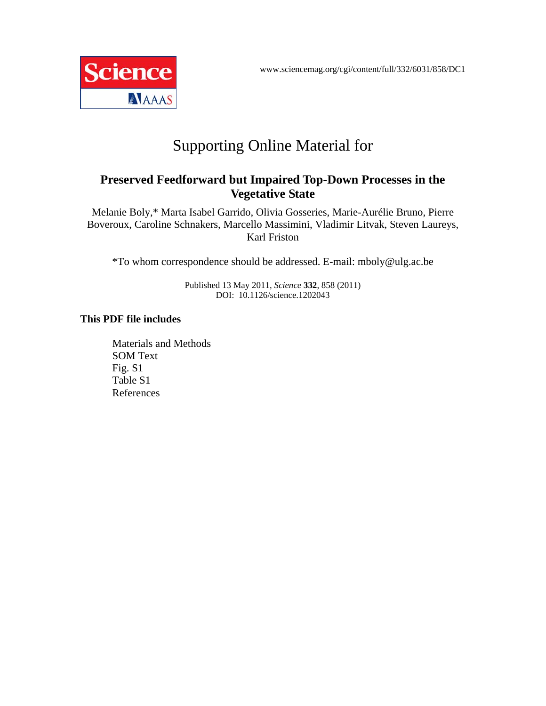www.sciencemag.org/cgi/content/full/332/6031/858/DC1



# Supporting Online Material for

# **Preserved Feedforward but Impaired Top-Down Processes in the Vegetative State**

Melanie Boly,\* Marta Isabel Garrido, Olivia Gosseries, Marie-Aurélie Bruno, Pierre Boveroux, Caroline Schnakers, Marcello Massimini, Vladimir Litvak, Steven Laureys, Karl Friston

\*To whom correspondence should be addressed. E-mail: mboly@ulg.ac.be

Published 13 May 2011, *Science* **332**, 858 (2011) DOI: 10.1126/science.1202043

## **This PDF file includes**

Materials and Methods SOM Text Fig. S1 Table S1 References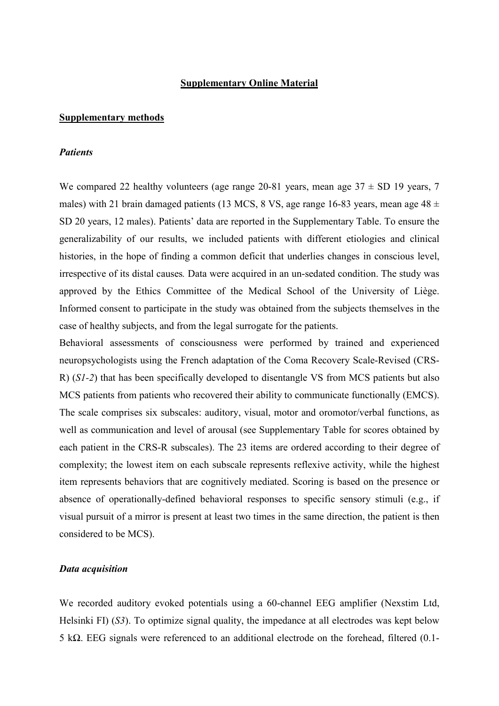#### **Supplementary Online Material**

#### **Supplementary methods**

#### *Patients*

We compared 22 healthy volunteers (age range 20-81 years, mean age  $37 \pm SD$  19 years, 7 males) with 21 brain damaged patients (13 MCS, 8 VS, age range 16-83 years, mean age  $48 \pm$ SD 20 years, 12 males). Patients' data are reported in the Supplementary Table. To ensure the generalizability of our results, we included patients with different etiologies and clinical histories, in the hope of finding a common deficit that underlies changes in conscious level, irrespective of its distal causes*.* Data were acquired in an un-sedated condition. The study was approved by the Ethics Committee of the Medical School of the University of Liège. Informed consent to participate in the study was obtained from the subjects themselves in the case of healthy subjects, and from the legal surrogate for the patients.

Behavioral assessments of consciousness were performed by trained and experienced neuropsychologists using the French adaptation of the Coma Recovery Scale-Revised (CRS-R) (*S1-2*) that has been specifically developed to disentangle VS from MCS patients but also MCS patients from patients who recovered their ability to communicate functionally (EMCS). The scale comprises six subscales: auditory, visual, motor and oromotor/verbal functions, as well as communication and level of arousal (see Supplementary Table for scores obtained by each patient in the CRS-R subscales). The 23 items are ordered according to their degree of complexity; the lowest item on each subscale represents reflexive activity, while the highest item represents behaviors that are cognitively mediated. Scoring is based on the presence or absence of operationally-defined behavioral responses to specific sensory stimuli (e.g., if visual pursuit of a mirror is present at least two times in the same direction, the patient is then considered to be MCS).

#### *Data acquisition*

We recorded auditory evoked potentials using a 60-channel EEG amplifier (Nexstim Ltd, Helsinki FI) (*S3*). To optimize signal quality, the impedance at all electrodes was kept below 5 kΩ. EEG signals were referenced to an additional electrode on the forehead, filtered (0.1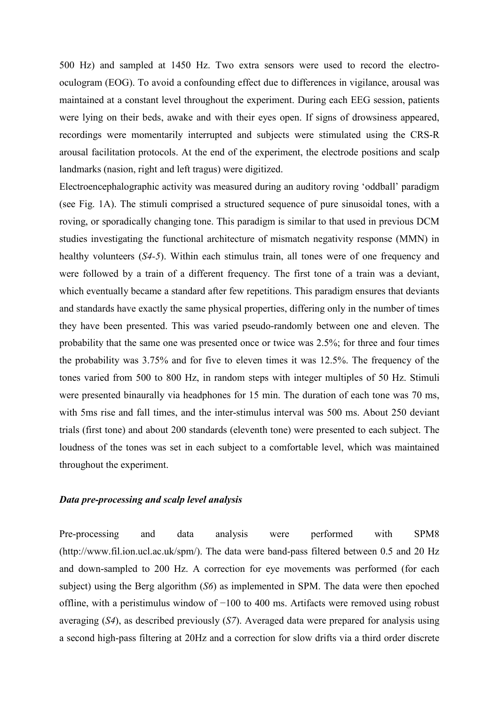500 Hz) and sampled at 1450 Hz. Two extra sensors were used to record the electrooculogram (EOG). To avoid a confounding effect due to differences in vigilance, arousal was maintained at a constant level throughout the experiment. During each EEG session, patients were lying on their beds, awake and with their eyes open. If signs of drowsiness appeared, recordings were momentarily interrupted and subjects were stimulated using the CRS-R arousal facilitation protocols. At the end of the experiment, the electrode positions and scalp landmarks (nasion, right and left tragus) were digitized.

Electroencephalographic activity was measured during an auditory roving 'oddball' paradigm (see Fig. 1A). The stimuli comprised a structured sequence of pure sinusoidal tones, with a roving, or sporadically changing tone. This paradigm is similar to that used in previous DCM studies investigating the functional architecture of mismatch negativity response (MMN) in healthy volunteers (*S4-5*). Within each stimulus train, all tones were of one frequency and were followed by a train of a different frequency. The first tone of a train was a deviant, which eventually became a standard after few repetitions. This paradigm ensures that deviants and standards have exactly the same physical properties, differing only in the number of times they have been presented. This was varied pseudo-randomly between one and eleven. The probability that the same one was presented once or twice was 2.5%; for three and four times the probability was 3.75% and for five to eleven times it was 12.5%. The frequency of the tones varied from 500 to 800 Hz, in random steps with integer multiples of 50 Hz. Stimuli were presented binaurally via headphones for 15 min. The duration of each tone was 70 ms, with 5ms rise and fall times, and the inter-stimulus interval was 500 ms. About 250 deviant trials (first tone) and about 200 standards (eleventh tone) were presented to each subject. The loudness of the tones was set in each subject to a comfortable level, which was maintained throughout the experiment.

### *Data pre-processing and scalp level analysis*

Pre-processing and data analysis were performed with SPM8 (http://www.fil.ion.ucl.ac.uk/spm/). The data were band-pass filtered between 0.5 and 20 Hz and down-sampled to 200 Hz. A correction for eye movements was performed (for each subject) using the Berg algorithm (*S6*) as implemented in SPM. The data were then epoched offline, with a peristimulus window of −100 to 400 ms. Artifacts were removed using robust averaging (*S4*), as described previously (*S7*). Averaged data were prepared for analysis using a second high-pass filtering at 20Hz and a correction for slow drifts via a third order discrete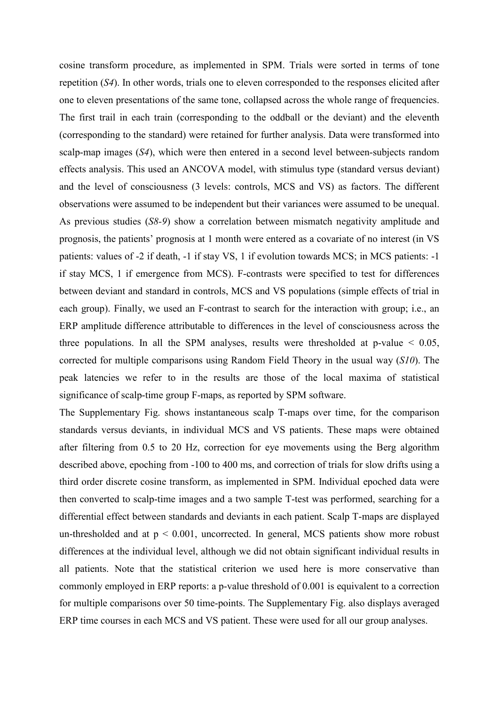cosine transform procedure, as implemented in SPM. Trials were sorted in terms of tone repetition (*S4*). In other words, trials one to eleven corresponded to the responses elicited after one to eleven presentations of the same tone, collapsed across the whole range of frequencies. The first trail in each train (corresponding to the oddball or the deviant) and the eleventh (corresponding to the standard) were retained for further analysis. Data were transformed into scalp-map images (*S4*), which were then entered in a second level between-subjects random effects analysis. This used an ANCOVA model, with stimulus type (standard versus deviant) and the level of consciousness (3 levels: controls, MCS and VS) as factors. The different observations were assumed to be independent but their variances were assumed to be unequal. As previous studies (*S8-9*) show a correlation between mismatch negativity amplitude and prognosis, the patients' prognosis at 1 month were entered as a covariate of no interest (in VS patients: values of -2 if death, -1 if stay VS, 1 if evolution towards MCS; in MCS patients: -1 if stay MCS, 1 if emergence from MCS). F-contrasts were specified to test for differences between deviant and standard in controls, MCS and VS populations (simple effects of trial in each group). Finally, we used an F-contrast to search for the interaction with group; i.e., an ERP amplitude difference attributable to differences in the level of consciousness across the three populations. In all the SPM analyses, results were thresholded at p-value  $\leq 0.05$ , corrected for multiple comparisons using Random Field Theory in the usual way (*S10*). The peak latencies we refer to in the results are those of the local maxima of statistical significance of scalp-time group F-maps, as reported by SPM software.

The Supplementary Fig. shows instantaneous scalp T-maps over time, for the comparison standards versus deviants, in individual MCS and VS patients. These maps were obtained after filtering from 0.5 to 20 Hz, correction for eye movements using the Berg algorithm described above, epoching from -100 to 400 ms, and correction of trials for slow drifts using a third order discrete cosine transform, as implemented in SPM. Individual epoched data were then converted to scalp-time images and a two sample T-test was performed, searching for a differential effect between standards and deviants in each patient. Scalp T-maps are displayed un-thresholded and at  $p < 0.001$ , uncorrected. In general, MCS patients show more robust differences at the individual level, although we did not obtain significant individual results in all patients. Note that the statistical criterion we used here is more conservative than commonly employed in ERP reports: a p-value threshold of 0.001 is equivalent to a correction for multiple comparisons over 50 time-points. The Supplementary Fig. also displays averaged ERP time courses in each MCS and VS patient. These were used for all our group analyses.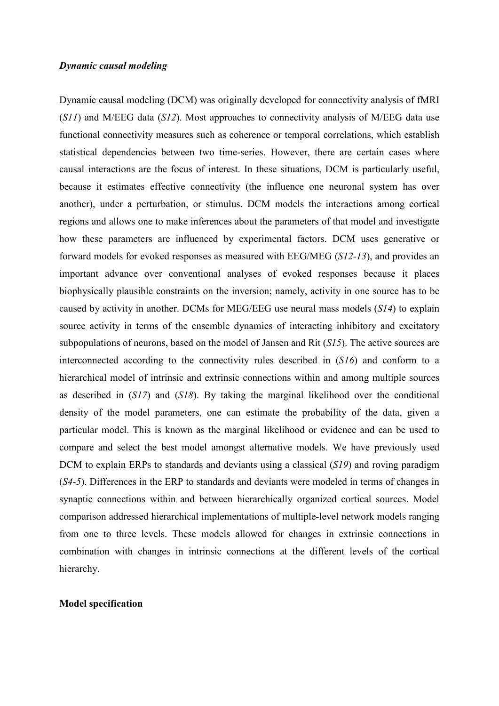#### *Dynamic causal modeling*

Dynamic causal modeling (DCM) was originally developed for connectivity analysis of fMRI (*S11*) and M/EEG data (*S12*). Most approaches to connectivity analysis of M/EEG data use functional connectivity measures such as coherence or temporal correlations, which establish statistical dependencies between two time-series. However, there are certain cases where causal interactions are the focus of interest. In these situations, DCM is particularly useful, because it estimates effective connectivity (the influence one neuronal system has over another), under a perturbation, or stimulus. DCM models the interactions among cortical regions and allows one to make inferences about the parameters of that model and investigate how these parameters are influenced by experimental factors. DCM uses generative or forward models for evoked responses as measured with EEG/MEG (*S12-13*), and provides an important advance over conventional analyses of evoked responses because it places biophysically plausible constraints on the inversion; namely, activity in one source has to be caused by activity in another. DCMs for MEG/EEG use neural mass models (*S14*) to explain source activity in terms of the ensemble dynamics of interacting inhibitory and excitatory subpopulations of neurons, based on the model of Jansen and Rit (*S15*). The active sources are interconnected according to the connectivity rules described in (*S16*) and conform to a hierarchical model of intrinsic and extrinsic connections within and among multiple sources as described in (*S17*) and (*S18*). By taking the marginal likelihood over the conditional density of the model parameters, one can estimate the probability of the data, given a particular model. This is known as the marginal likelihood or evidence and can be used to compare and select the best model amongst alternative models. We have previously used DCM to explain ERPs to standards and deviants using a classical (*S19*) and roving paradigm (*S4-5*). Differences in the ERP to standards and deviants were modeled in terms of changes in synaptic connections within and between hierarchically organized cortical sources. Model comparison addressed hierarchical implementations of multiple-level network models ranging from one to three levels. These models allowed for changes in extrinsic connections in combination with changes in intrinsic connections at the different levels of the cortical hierarchy.

#### **Model specification**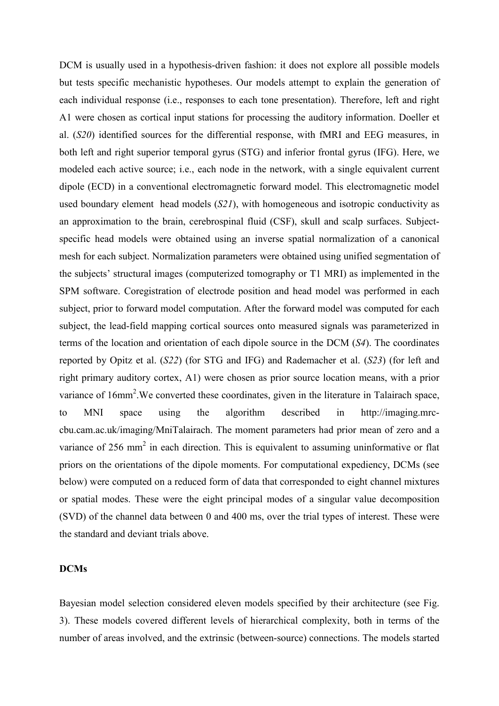DCM is usually used in a hypothesis-driven fashion: it does not explore all possible models but tests specific mechanistic hypotheses. Our models attempt to explain the generation of each individual response (i.e., responses to each tone presentation). Therefore, left and right A1 were chosen as cortical input stations for processing the auditory information. Doeller et al. (*S20*) identified sources for the differential response, with fMRI and EEG measures, in both left and right superior temporal gyrus (STG) and inferior frontal gyrus (IFG). Here, we modeled each active source; i.e., each node in the network, with a single equivalent current dipole (ECD) in a conventional electromagnetic forward model. This electromagnetic model used boundary element head models (*S21*), with homogeneous and isotropic conductivity as an approximation to the brain, cerebrospinal fluid (CSF), skull and scalp surfaces. Subjectspecific head models were obtained using an inverse spatial normalization of a canonical mesh for each subject. Normalization parameters were obtained using unified segmentation of the subjects' structural images (computerized tomography or T1 MRI) as implemented in the SPM software. Coregistration of electrode position and head model was performed in each subject, prior to forward model computation. After the forward model was computed for each subject, the lead-field mapping cortical sources onto measured signals was parameterized in terms of the location and orientation of each dipole source in the DCM (*S4*). The coordinates reported by Opitz et al. (*S22*) (for STG and IFG) and Rademacher et al. (*S23*) (for left and right primary auditory cortex, A1) were chosen as prior source location means, with a prior variance of 16mm<sup>2</sup>. We converted these coordinates, given in the literature in Talairach space, to MNI space using the algorithm described in http://imaging.mrccbu.cam.ac.uk/imaging/MniTalairach. The moment parameters had prior mean of zero and a variance of 256 mm<sup>2</sup> in each direction. This is equivalent to assuming uninformative or flat priors on the orientations of the dipole moments. For computational expediency, DCMs (see below) were computed on a reduced form of data that corresponded to eight channel mixtures or spatial modes. These were the eight principal modes of a singular value decomposition (SVD) of the channel data between 0 and 400 ms, over the trial types of interest. These were the standard and deviant trials above.

## **DCMs**

Bayesian model selection considered eleven models specified by their architecture (see Fig. 3). These models covered different levels of hierarchical complexity, both in terms of the number of areas involved, and the extrinsic (between-source) connections. The models started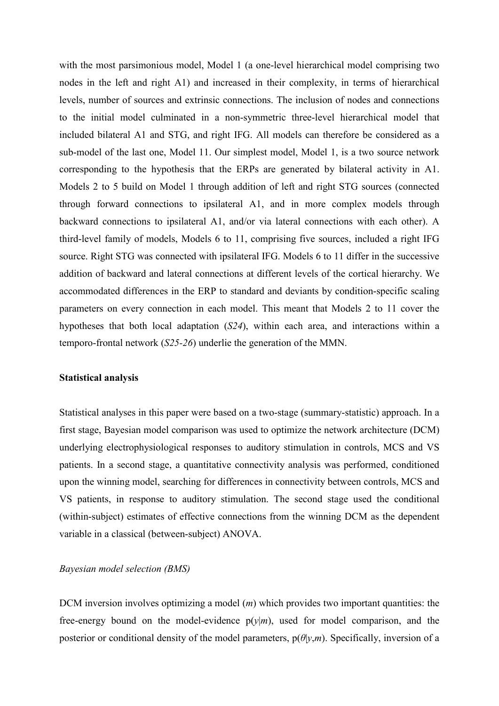with the most parsimonious model, Model 1 (a one-level hierarchical model comprising two nodes in the left and right A1) and increased in their complexity, in terms of hierarchical levels, number of sources and extrinsic connections. The inclusion of nodes and connections to the initial model culminated in a non-symmetric three-level hierarchical model that included bilateral A1 and STG, and right IFG. All models can therefore be considered as a sub-model of the last one, Model 11. Our simplest model, Model 1, is a two source network corresponding to the hypothesis that the ERPs are generated by bilateral activity in A1. Models 2 to 5 build on Model 1 through addition of left and right STG sources (connected through forward connections to ipsilateral A1, and in more complex models through backward connections to ipsilateral A1, and/or via lateral connections with each other). A third-level family of models, Models 6 to 11, comprising five sources, included a right IFG source. Right STG was connected with ipsilateral IFG. Models 6 to 11 differ in the successive addition of backward and lateral connections at different levels of the cortical hierarchy. We accommodated differences in the ERP to standard and deviants by condition-specific scaling parameters on every connection in each model. This meant that Models 2 to 11 cover the hypotheses that both local adaptation (*S24*), within each area, and interactions within a temporo-frontal network (*S25-26*) underlie the generation of the MMN.

#### **Statistical analysis**

Statistical analyses in this paper were based on a two-stage (summary-statistic) approach. In a first stage, Bayesian model comparison was used to optimize the network architecture (DCM) underlying electrophysiological responses to auditory stimulation in controls, MCS and VS patients. In a second stage, a quantitative connectivity analysis was performed, conditioned upon the winning model, searching for differences in connectivity between controls, MCS and VS patients, in response to auditory stimulation. The second stage used the conditional (within-subject) estimates of effective connections from the winning DCM as the dependent variable in a classical (between-subject) ANOVA.

#### *Bayesian model selection (BMS)*

DCM inversion involves optimizing a model (*m*) which provides two important quantities: the free-energy bound on the model-evidence  $p(y|m)$ , used for model comparison, and the posterior or conditional density of the model parameters, p(*θ*|*y*,*m*). Specifically, inversion of a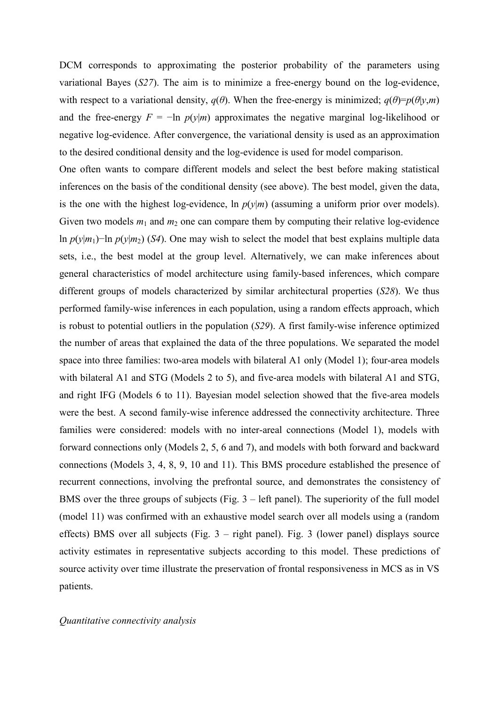DCM corresponds to approximating the posterior probability of the parameters using variational Bayes (*S27*). The aim is to minimize a free-energy bound on the log-evidence, with respect to a variational density,  $q(\theta)$ . When the free-energy is minimized;  $q(\theta)=p(\theta|y,m)$ and the free-energy  $F = -\ln p(y|m)$  approximates the negative marginal log-likelihood or negative log-evidence. After convergence, the variational density is used as an approximation to the desired conditional density and the log-evidence is used for model comparison.

One often wants to compare different models and select the best before making statistical inferences on the basis of the conditional density (see above). The best model, given the data, is the one with the highest log-evidence, ln  $p(y|m)$  (assuming a uniform prior over models). Given two models  $m_1$  and  $m_2$  one can compare them by computing their relative log-evidence ln  $p(y|m_1)$ −ln  $p(y|m_2)$  (*S4*). One may wish to select the model that best explains multiple data sets, i.e., the best model at the group level. Alternatively, we can make inferences about general characteristics of model architecture using family-based inferences, which compare different groups of models characterized by similar architectural properties (*S28*). We thus performed family-wise inferences in each population, using a random effects approach, which is robust to potential outliers in the population (*S29*). A first family-wise inference optimized the number of areas that explained the data of the three populations. We separated the model space into three families: two-area models with bilateral A1 only (Model 1); four-area models with bilateral A1 and STG (Models 2 to 5), and five-area models with bilateral A1 and STG, and right IFG (Models 6 to 11). Bayesian model selection showed that the five-area models were the best. A second family-wise inference addressed the connectivity architecture. Three families were considered: models with no inter-areal connections (Model 1), models with forward connections only (Models 2, 5, 6 and 7), and models with both forward and backward connections (Models 3, 4, 8, 9, 10 and 11). This BMS procedure established the presence of recurrent connections, involving the prefrontal source, and demonstrates the consistency of BMS over the three groups of subjects (Fig. 3 – left panel). The superiority of the full model (model 11) was confirmed with an exhaustive model search over all models using a (random effects) BMS over all subjects (Fig. 3 – right panel). Fig. 3 (lower panel) displays source activity estimates in representative subjects according to this model. These predictions of source activity over time illustrate the preservation of frontal responsiveness in MCS as in VS patients.

#### *Quantitative connectivity analysis*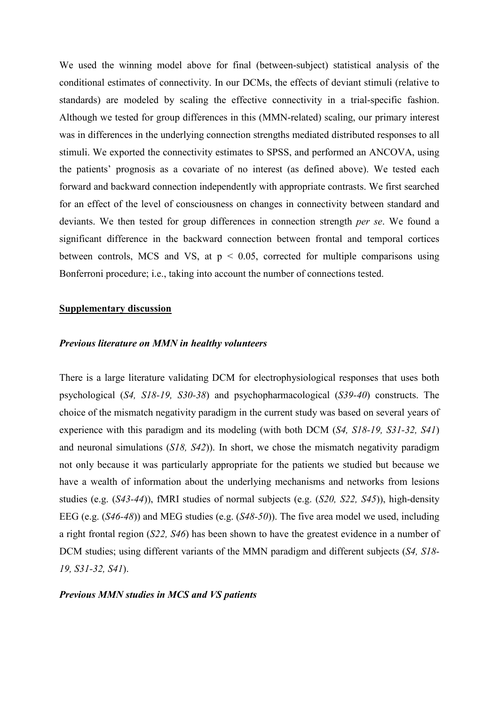We used the winning model above for final (between-subject) statistical analysis of the conditional estimates of connectivity. In our DCMs, the effects of deviant stimuli (relative to standards) are modeled by scaling the effective connectivity in a trial-specific fashion. Although we tested for group differences in this (MMN-related) scaling, our primary interest was in differences in the underlying connection strengths mediated distributed responses to all stimuli. We exported the connectivity estimates to SPSS, and performed an ANCOVA, using the patients' prognosis as a covariate of no interest (as defined above). We tested each forward and backward connection independently with appropriate contrasts. We first searched for an effect of the level of consciousness on changes in connectivity between standard and deviants. We then tested for group differences in connection strength *per se*. We found a significant difference in the backward connection between frontal and temporal cortices between controls, MCS and VS, at  $p < 0.05$ , corrected for multiple comparisons using Bonferroni procedure; i.e., taking into account the number of connections tested.

## **Supplementary discussion**

#### *Previous literature on MMN in healthy volunteers*

There is a large literature validating DCM for electrophysiological responses that uses both psychological (*S4, S18-19, S30-38*) and psychopharmacological (*S39-40*) constructs. The choice of the mismatch negativity paradigm in the current study was based on several years of experience with this paradigm and its modeling (with both DCM (*S4, S18-19, S31-32, S41*) and neuronal simulations (*S18, S42*)). In short, we chose the mismatch negativity paradigm not only because it was particularly appropriate for the patients we studied but because we have a wealth of information about the underlying mechanisms and networks from lesions studies (e.g. (*S43-44*)), fMRI studies of normal subjects (e.g. (*S20, S22, S45*)), high-density EEG (e.g. (*S46-48*)) and MEG studies (e.g. (*S48-50*)). The five area model we used, including a right frontal region (*S22, S46*) has been shown to have the greatest evidence in a number of DCM studies; using different variants of the MMN paradigm and different subjects (*S4, S18- 19, S31-32, S41*).

#### *Previous MMN studies in MCS and VS patients*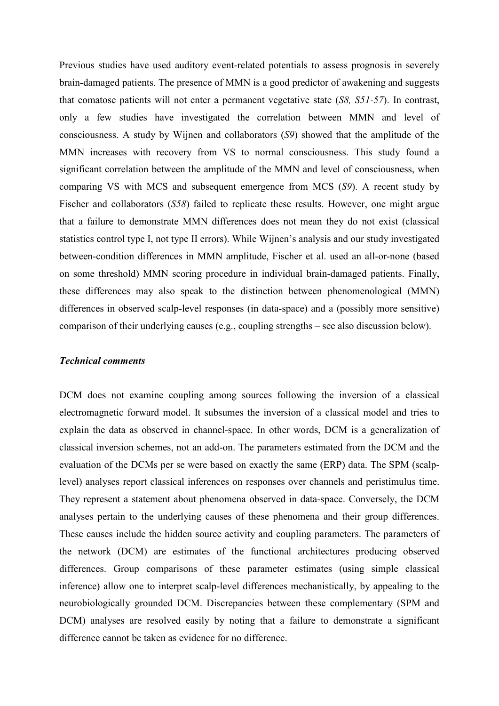Previous studies have used auditory event-related potentials to assess prognosis in severely brain-damaged patients. The presence of MMN is a good predictor of awakening and suggests that comatose patients will not enter a permanent vegetative state (*S8, S51-57*). In contrast, only a few studies have investigated the correlation between MMN and level of consciousness. A study by Wijnen and collaborators (*S9*) showed that the amplitude of the MMN increases with recovery from VS to normal consciousness. This study found a significant correlation between the amplitude of the MMN and level of consciousness, when comparing VS with MCS and subsequent emergence from MCS (*S9*). A recent study by Fischer and collaborators (*S58*) failed to replicate these results. However, one might argue that a failure to demonstrate MMN differences does not mean they do not exist (classical statistics control type I, not type II errors). While Wijnen's analysis and our study investigated between-condition differences in MMN amplitude, Fischer et al. used an all-or-none (based on some threshold) MMN scoring procedure in individual brain-damaged patients. Finally, these differences may also speak to the distinction between phenomenological (MMN) differences in observed scalp-level responses (in data-space) and a (possibly more sensitive) comparison of their underlying causes (e.g., coupling strengths – see also discussion below).

#### *Technical comments*

DCM does not examine coupling among sources following the inversion of a classical electromagnetic forward model. It subsumes the inversion of a classical model and tries to explain the data as observed in channel-space. In other words, DCM is a generalization of classical inversion schemes, not an add-on. The parameters estimated from the DCM and the evaluation of the DCMs per se were based on exactly the same (ERP) data. The SPM (scalplevel) analyses report classical inferences on responses over channels and peristimulus time. They represent a statement about phenomena observed in data-space. Conversely, the DCM analyses pertain to the underlying causes of these phenomena and their group differences. These causes include the hidden source activity and coupling parameters. The parameters of the network (DCM) are estimates of the functional architectures producing observed differences. Group comparisons of these parameter estimates (using simple classical inference) allow one to interpret scalp-level differences mechanistically, by appealing to the neurobiologically grounded DCM. Discrepancies between these complementary (SPM and DCM) analyses are resolved easily by noting that a failure to demonstrate a significant difference cannot be taken as evidence for no difference.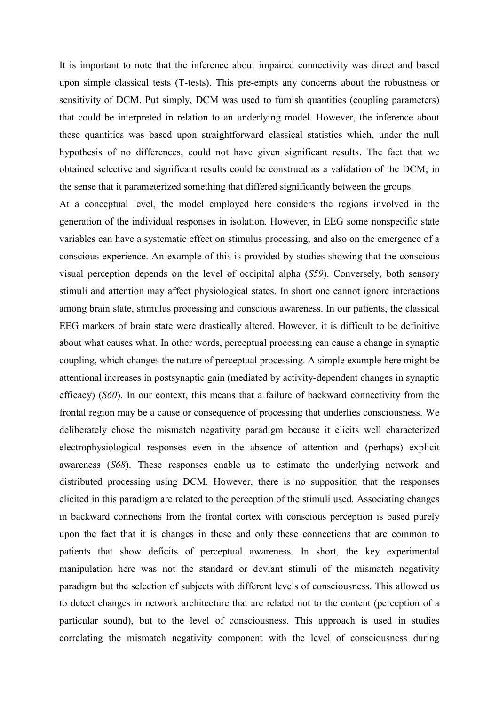It is important to note that the inference about impaired connectivity was direct and based upon simple classical tests (T-tests). This pre-empts any concerns about the robustness or sensitivity of DCM. Put simply, DCM was used to furnish quantities (coupling parameters) that could be interpreted in relation to an underlying model. However, the inference about these quantities was based upon straightforward classical statistics which, under the null hypothesis of no differences, could not have given significant results. The fact that we obtained selective and significant results could be construed as a validation of the DCM; in the sense that it parameterized something that differed significantly between the groups.

At a conceptual level, the model employed here considers the regions involved in the generation of the individual responses in isolation. However, in EEG some nonspecific state variables can have a systematic effect on stimulus processing, and also on the emergence of a conscious experience. An example of this is provided by studies showing that the conscious visual perception depends on the level of occipital alpha (*S59*). Conversely, both sensory stimuli and attention may affect physiological states. In short one cannot ignore interactions among brain state, stimulus processing and conscious awareness. In our patients, the classical EEG markers of brain state were drastically altered. However, it is difficult to be definitive about what causes what. In other words, perceptual processing can cause a change in synaptic coupling, which changes the nature of perceptual processing. A simple example here might be attentional increases in postsynaptic gain (mediated by activity-dependent changes in synaptic efficacy) (*S60*). In our context, this means that a failure of backward connectivity from the frontal region may be a cause or consequence of processing that underlies consciousness. We deliberately chose the mismatch negativity paradigm because it elicits well characterized electrophysiological responses even in the absence of attention and (perhaps) explicit awareness (*S68*). These responses enable us to estimate the underlying network and distributed processing using DCM. However, there is no supposition that the responses elicited in this paradigm are related to the perception of the stimuli used. Associating changes in backward connections from the frontal cortex with conscious perception is based purely upon the fact that it is changes in these and only these connections that are common to patients that show deficits of perceptual awareness. In short, the key experimental manipulation here was not the standard or deviant stimuli of the mismatch negativity paradigm but the selection of subjects with different levels of consciousness. This allowed us to detect changes in network architecture that are related not to the content (perception of a particular sound), but to the level of consciousness. This approach is used in studies correlating the mismatch negativity component with the level of consciousness during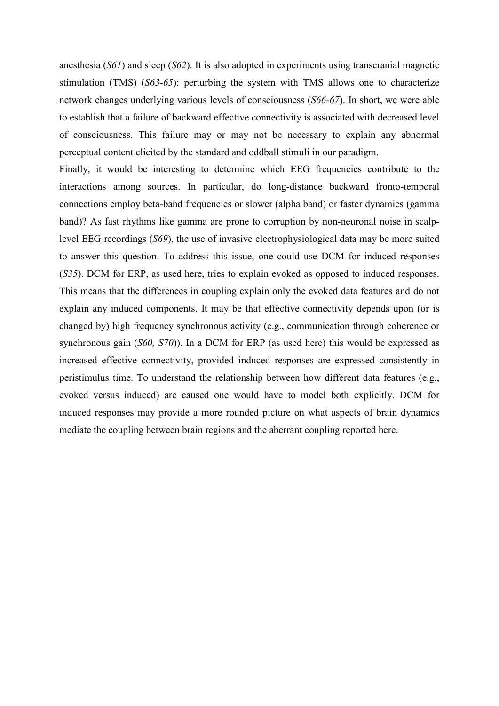anesthesia (*S61*) and sleep (*S62*). It is also adopted in experiments using transcranial magnetic stimulation (TMS) (*S63-65*): perturbing the system with TMS allows one to characterize network changes underlying various levels of consciousness (*S66-67*). In short, we were able to establish that a failure of backward effective connectivity is associated with decreased level of consciousness. This failure may or may not be necessary to explain any abnormal perceptual content elicited by the standard and oddball stimuli in our paradigm.

Finally, it would be interesting to determine which EEG frequencies contribute to the interactions among sources. In particular, do long-distance backward fronto-temporal connections employ beta-band frequencies or slower (alpha band) or faster dynamics (gamma band)? As fast rhythms like gamma are prone to corruption by non-neuronal noise in scalplevel EEG recordings (*S69*), the use of invasive electrophysiological data may be more suited to answer this question. To address this issue, one could use DCM for induced responses (*S35*). DCM for ERP, as used here, tries to explain evoked as opposed to induced responses. This means that the differences in coupling explain only the evoked data features and do not explain any induced components. It may be that effective connectivity depends upon (or is changed by) high frequency synchronous activity (e.g., communication through coherence or synchronous gain (*S60, S70*)). In a DCM for ERP (as used here) this would be expressed as increased effective connectivity, provided induced responses are expressed consistently in peristimulus time. To understand the relationship between how different data features (e.g., evoked versus induced) are caused one would have to model both explicitly. DCM for induced responses may provide a more rounded picture on what aspects of brain dynamics mediate the coupling between brain regions and the aberrant coupling reported here.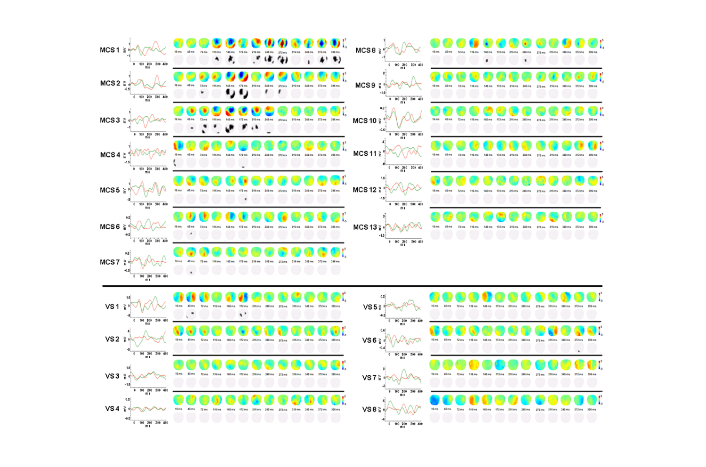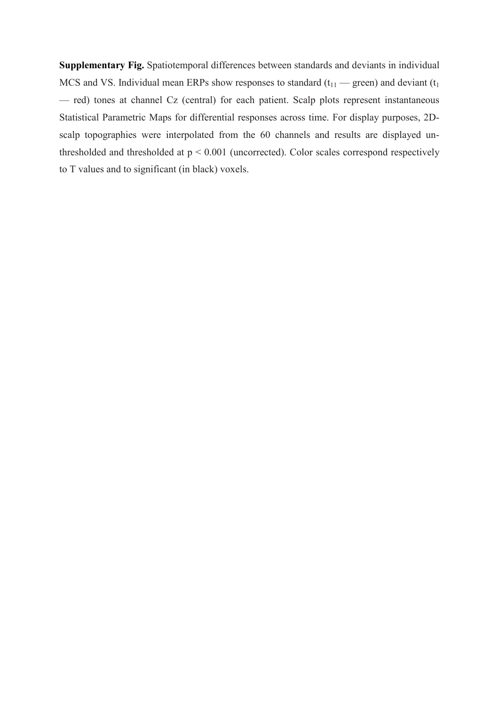**Supplementary Fig.** Spatiotemporal differences between standards and deviants in individual MCS and VS. Individual mean ERPs show responses to standard  $(t_{11}$  — green) and deviant  $(t_1)$ — red) tones at channel Cz (central) for each patient. Scalp plots represent instantaneous Statistical Parametric Maps for differential responses across time. For display purposes, 2Dscalp topographies were interpolated from the 60 channels and results are displayed unthresholded and thresholded at  $p \le 0.001$  (uncorrected). Color scales correspond respectively to T values and to significant (in black) voxels.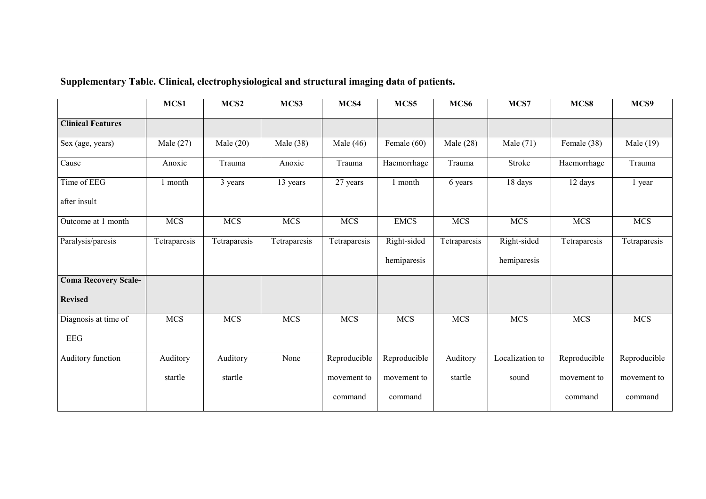|                             | MCS1              | MCS <sub>2</sub> | MCS3         | MCS4         | MCS5          | MCS <sub>6</sub> | MCS7            | MCS8         | MCS9         |
|-----------------------------|-------------------|------------------|--------------|--------------|---------------|------------------|-----------------|--------------|--------------|
| <b>Clinical Features</b>    |                   |                  |              |              |               |                  |                 |              |              |
| Sex (age, years)            | Male $(27)$       | Male $(20)$      | Male $(38)$  | Male $(46)$  | Female $(60)$ | Male $(28)$      | Male $(71)$     | Female (38)  | Male $(19)$  |
| Cause                       | Anoxic            | Trauma           | Anoxic       | Trauma       | Haemorrhage   | Trauma           | Stroke          | Haemorrhage  | Trauma       |
| Time of EEG                 | 1 month           | 3 years          | 13 years     | 27 years     | 1 month       | 6 years          | 18 days         | 12 days      | 1 year       |
| after insult                |                   |                  |              |              |               |                  |                 |              |              |
| Outcome at 1 month          | <b>MCS</b>        | <b>MCS</b>       | <b>MCS</b>   | <b>MCS</b>   | <b>EMCS</b>   | <b>MCS</b>       | <b>MCS</b>      | <b>MCS</b>   | <b>MCS</b>   |
| Paralysis/paresis           | Tetraparesis      | Tetraparesis     | Tetraparesis | Tetraparesis | Right-sided   | Tetraparesis     | Right-sided     | Tetraparesis | Tetraparesis |
|                             |                   |                  |              |              | hemiparesis   |                  | hemiparesis     |              |              |
| <b>Coma Recovery Scale-</b> |                   |                  |              |              |               |                  |                 |              |              |
| <b>Revised</b>              |                   |                  |              |              |               |                  |                 |              |              |
| Diagnosis at time of        | $_{\mathrm{MCS}}$ | <b>MCS</b>       | <b>MCS</b>   | <b>MCS</b>   | <b>MCS</b>    | <b>MCS</b>       | <b>MCS</b>      | <b>MCS</b>   | <b>MCS</b>   |
| <b>EEG</b>                  |                   |                  |              |              |               |                  |                 |              |              |
| Auditory function           | Auditory          | Auditory         | None         | Reproducible | Reproducible  | Auditory         | Localization to | Reproducible | Reproducible |
|                             | startle           | startle          |              | movement to  | movement to   | startle          | sound           | movement to  | movement to  |
|                             |                   |                  |              | command      | command       |                  |                 | command      | command      |

## **Supplementary Table. Clinical, electrophysiological and structural imaging data of patients.**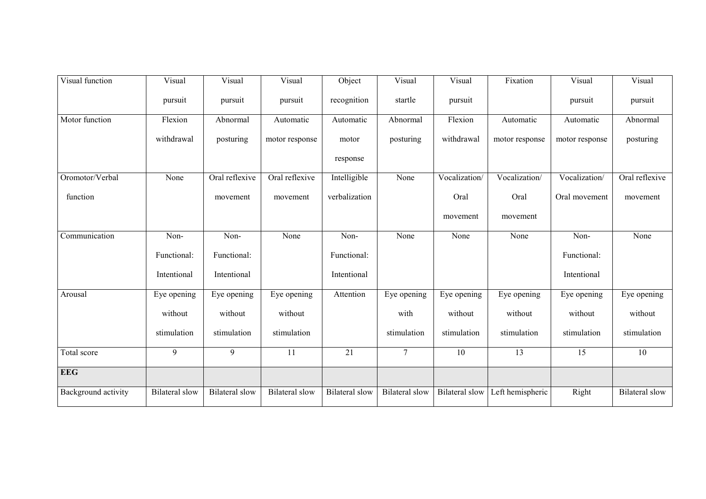| Visual function     | Visual                | Visual                | Visual                | Object                | Visual                | Visual                | Fixation         | Visual         | Visual                |
|---------------------|-----------------------|-----------------------|-----------------------|-----------------------|-----------------------|-----------------------|------------------|----------------|-----------------------|
|                     | pursuit               | pursuit               | pursuit               | recognition           | startle               | pursuit               |                  | pursuit        | pursuit               |
| Motor function      | Flexion               | Abnormal              | Automatic             | Automatic             | Abnormal              | Flexion               | Automatic        | Automatic      | Abnormal              |
|                     | withdrawal            | posturing             | motor response        | motor                 | posturing             | withdrawal            | motor response   | motor response | posturing             |
|                     |                       |                       |                       | response              |                       |                       |                  |                |                       |
| Oromotor/Verbal     | None                  | Oral reflexive        | Oral reflexive        | Intelligible          | None                  | Vocalization/         | Vocalization/    | Vocalization/  | Oral reflexive        |
| function            |                       | movement              | movement              | verbalization         |                       | Oral                  | Oral             | Oral movement  | movement              |
|                     |                       |                       |                       |                       |                       | movement              | movement         |                |                       |
| Communication       | Non-                  | Non-                  | None                  | Non-                  | None                  | None                  | None             | Non-           | None                  |
|                     | Functional:           | Functional:           |                       | Functional:           |                       |                       |                  | Functional:    |                       |
|                     | Intentional           | Intentional           |                       | Intentional           |                       |                       |                  | Intentional    |                       |
| Arousal             | Eye opening           | Eye opening           | Eye opening           | Attention             | Eye opening           | Eye opening           | Eye opening      | Eye opening    | Eye opening           |
|                     | without               | without               | without               |                       | with                  | without               | without          | without        | without               |
|                     | stimulation           | stimulation           | stimulation           |                       | stimulation           | stimulation           | stimulation      | stimulation    | stimulation           |
| Total score         | 9                     | 9                     | 11                    | 21                    | $\tau$                | 10                    | 13               | 15             | 10                    |
| <b>EEG</b>          |                       |                       |                       |                       |                       |                       |                  |                |                       |
| Background activity | <b>Bilateral</b> slow | <b>Bilateral</b> slow | <b>Bilateral</b> slow | <b>Bilateral</b> slow | <b>Bilateral</b> slow | <b>Bilateral</b> slow | Left hemispheric | Right          | <b>Bilateral</b> slow |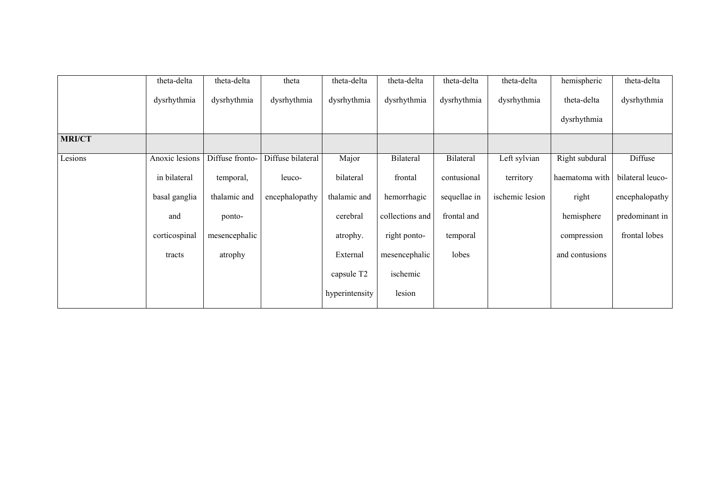|               | theta-delta    | theta-delta     | theta             | theta-delta    | theta-delta     | theta-delta  | theta-delta     | hemispheric    | theta-delta      |
|---------------|----------------|-----------------|-------------------|----------------|-----------------|--------------|-----------------|----------------|------------------|
|               | dysrhythmia    | dysrhythmia     | dysrhythmia       | dysrhythmia    | dysrhythmia     | dysrhythmia  | dysrhythmia     | theta-delta    | dysrhythmia      |
|               |                |                 |                   |                |                 |              |                 | dysrhythmia    |                  |
| <b>MRI/CT</b> |                |                 |                   |                |                 |              |                 |                |                  |
| Lesions       | Anoxic lesions | Diffuse fronto- | Diffuse bilateral | Major          | Bilateral       | Bilateral    | Left sylvian    | Right subdural | Diffuse          |
|               | in bilateral   | temporal,       | leuco-            | bilateral      | frontal         | contusional  | territory       | haematoma with | bilateral leuco- |
|               | basal ganglia  | thalamic and    | encephalopathy    | thalamic and   | hemorrhagic     | sequellae in | ischemic lesion | right          | encephalopathy   |
|               | and            | ponto-          |                   | cerebral       | collections and | frontal and  |                 | hemisphere     | predominant in   |
|               | corticospinal  | mesencephalic   |                   | atrophy.       | right ponto-    | temporal     |                 | compression    | frontal lobes    |
|               | tracts         | atrophy         |                   | External       | mesencephalic   | lobes        |                 | and contusions |                  |
|               |                |                 |                   | capsule T2     | ischemic        |              |                 |                |                  |
|               |                |                 |                   | hyperintensity | lesion          |              |                 |                |                  |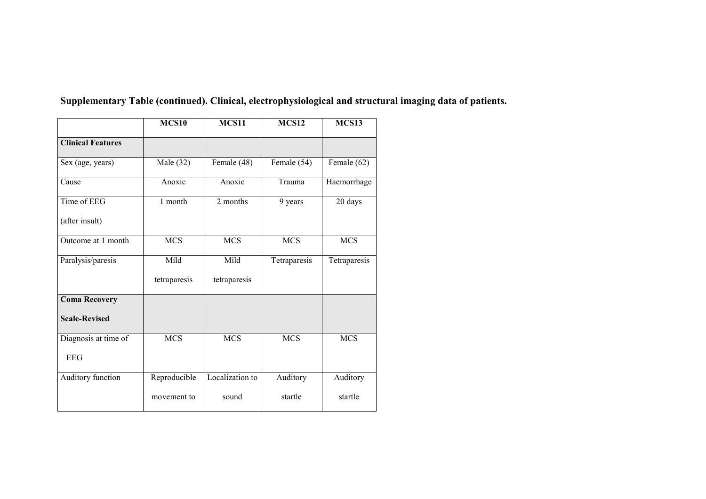|                          | <b>MCS10</b> | <b>MCS11</b>    | <b>MCS12</b> | MCS13        |
|--------------------------|--------------|-----------------|--------------|--------------|
| <b>Clinical Features</b> |              |                 |              |              |
| Sex (age, years)         | Male $(32)$  | Female (48)     | Female (54)  | Female (62)  |
| Cause                    | Anoxic       | Anoxic          | Trauma       | Haemorrhage  |
| Time of EEG              | 1 month      | 2 months        | 9 years      | 20 days      |
| (after insult)           |              |                 |              |              |
| Outcome at 1 month       | <b>MCS</b>   | <b>MCS</b>      | <b>MCS</b>   | <b>MCS</b>   |
| Paralysis/paresis        | Mild         | Mild            | Tetraparesis | Tetraparesis |
|                          | tetraparesis | tetraparesis    |              |              |
| <b>Coma Recovery</b>     |              |                 |              |              |
| <b>Scale-Revised</b>     |              |                 |              |              |
| Diagnosis at time of     | <b>MCS</b>   | <b>MCS</b>      | <b>MCS</b>   | <b>MCS</b>   |
| <b>EEG</b>               |              |                 |              |              |
| Auditory function        | Reproducible | Localization to | Auditory     | Auditory     |
|                          | movement to  | sound           | startle      | startle      |

## **Supplementary Table (continued). Clinical, electrophysiological and structural imaging data of patients.**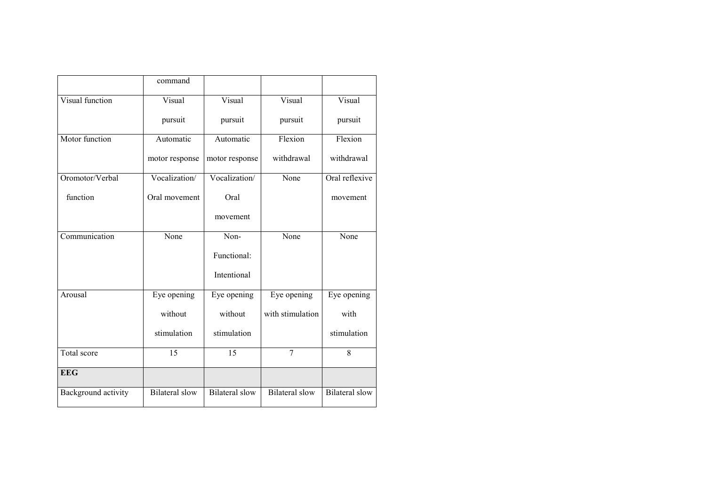|                     | command               |                       |                       |                       |
|---------------------|-----------------------|-----------------------|-----------------------|-----------------------|
| Visual function     | Visual                | Visual                | Visual                | Visual                |
|                     | pursuit               | pursuit               | pursuit               | pursuit               |
| Motor function      | Automatic             | Automatic             | Flexion               | Flexion               |
|                     | motor response        | motor response        | withdrawal            | withdrawal            |
| Oromotor/Verbal     | Vocalization/         | Vocalization/         | None                  | Oral reflexive        |
| function            | Oral movement         | Oral                  |                       | movement              |
|                     |                       | movement              |                       |                       |
| Communication       | None                  | Non-                  | None                  | None                  |
|                     |                       | Functional:           |                       |                       |
|                     |                       | Intentional           |                       |                       |
| Arousal             | Eye opening           | Eye opening           | Eye opening           | Eye opening           |
|                     | without               | without               | with stimulation      | with                  |
|                     | stimulation           | stimulation           |                       | stimulation           |
| Total score         | $\overline{15}$       | $\overline{15}$       | $\overline{7}$        | $\overline{8}$        |
| <b>EEG</b>          |                       |                       |                       |                       |
| Background activity | <b>Bilateral</b> slow | <b>Bilateral</b> slow | <b>Bilateral</b> slow | <b>Bilateral</b> slow |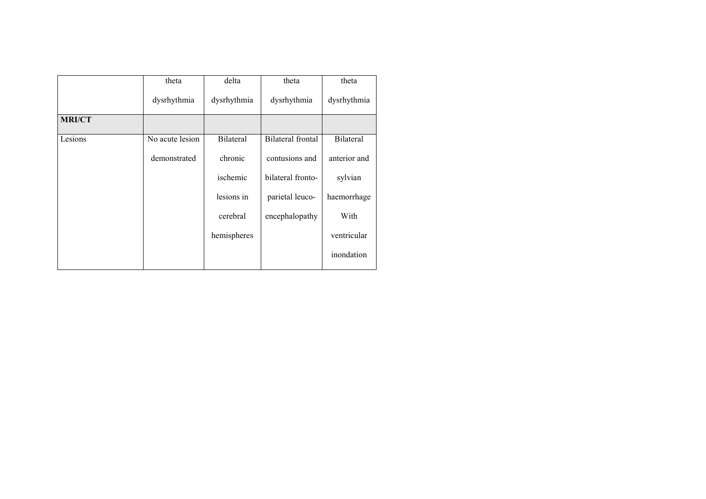|               | theta           | delta            | theta                    | theta            |
|---------------|-----------------|------------------|--------------------------|------------------|
|               | dysrhythmia     | dysrhythmia      | dysrhythmia              | dysrhythmia      |
| <b>MRI/CT</b> |                 |                  |                          |                  |
| Lesions       | No acute lesion | <b>Bilateral</b> | <b>Bilateral</b> frontal | <b>Bilateral</b> |
|               | demonstrated    | chronic          | contusions and           | anterior and     |
|               |                 | ischemic         | bilateral fronto-        | sylvian          |
|               |                 | lesions in       | parietal leuco-          | haemorrhage      |
|               |                 | cerebral         | encephalopathy           | With             |
|               |                 | hemispheres      |                          | ventricular      |
|               |                 |                  |                          | inondation       |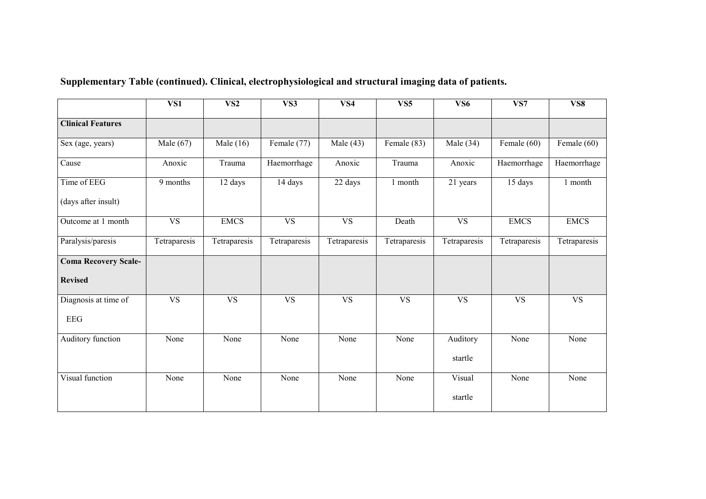|                             | VS1                    | VS <sub>2</sub>        | VS3                    | VS4                      | VS <sub>5</sub>        | VS <sub>6</sub>        | VS7                    | <b>VS8</b>             |
|-----------------------------|------------------------|------------------------|------------------------|--------------------------|------------------------|------------------------|------------------------|------------------------|
| <b>Clinical Features</b>    |                        |                        |                        |                          |                        |                        |                        |                        |
| Sex (age, years)            | Male $(67)$            | Male $(16)$            | Female (77)            | Male $(43)$              | Female (83)            | Male $(34)$            | Female $(60)$          | Female $(60)$          |
| Cause                       | Anoxic                 | Trauma                 | Haemorrhage            | Anoxic                   | Trauma                 | Anoxic                 | Haemorrhage            | Haemorrhage            |
| Time of EEG                 | 9 months               | 12 days                | 14 days                | 22 days                  | 1 month                | 21 years               | 15 days                | 1 month                |
| (days after insult)         |                        |                        |                        |                          |                        |                        |                        |                        |
| Outcome at 1 month          | <b>VS</b>              | <b>EMCS</b>            | $\overline{\text{VS}}$ | $\overline{\text{VS}}$   | Death                  | <b>VS</b>              | <b>EMCS</b>            | <b>EMCS</b>            |
| Paralysis/paresis           | Tetraparesis           | Tetraparesis           | Tetraparesis           | Tetraparesis             | Tetraparesis           | Tetraparesis           | Tetraparesis           | Tetraparesis           |
| <b>Coma Recovery Scale-</b> |                        |                        |                        |                          |                        |                        |                        |                        |
| <b>Revised</b>              |                        |                        |                        |                          |                        |                        |                        |                        |
| Diagnosis at time of        | $\overline{\text{VS}}$ | $\overline{\text{VS}}$ | $\overline{\text{VS}}$ | $\overline{\text{VS}}$   | $\overline{\text{VS}}$ | $\overline{\text{VS}}$ | $\overline{\text{VS}}$ | $\overline{\text{VS}}$ |
| <b>EEG</b>                  |                        |                        |                        |                          |                        |                        |                        |                        |
| Auditory function           | None                   | None                   | None                   | None                     | None                   | Auditory               | None                   | None                   |
|                             |                        |                        |                        |                          |                        | startle                |                        |                        |
| Visual function             | None                   | None                   | None                   | $\overline{\text{None}}$ | None                   | Visual                 | None                   | None                   |
|                             |                        |                        |                        |                          |                        | startle                |                        |                        |

## **Supplementary Table (continued). Clinical, electrophysiological and structural imaging data of patients.**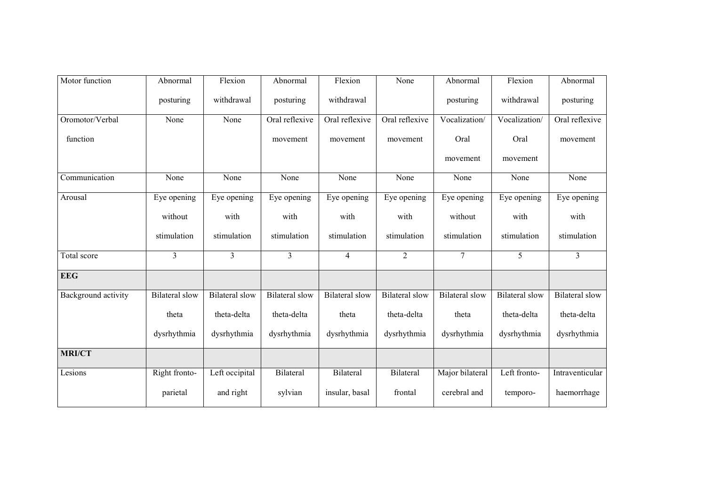| Motor function      | Abnormal              | Flexion               | Abnormal              | Flexion               | None                  | Abnormal              | Flexion               | Abnormal              |
|---------------------|-----------------------|-----------------------|-----------------------|-----------------------|-----------------------|-----------------------|-----------------------|-----------------------|
|                     | posturing             | withdrawal            | posturing             | withdrawal            |                       | posturing             | withdrawal            | posturing             |
| Oromotor/Verbal     | None                  | None                  | Oral reflexive        | Oral reflexive        | Oral reflexive        | Vocalization/         | Vocalization/         | Oral reflexive        |
| function            |                       |                       | movement              | movement              | movement              | Oral                  | Oral                  | movement              |
|                     |                       |                       |                       |                       |                       | movement              | movement              |                       |
| Communication       | None                  | None                  | None                  | None                  | None                  | None                  | None                  | None                  |
| Arousal             | Eye opening           | Eye opening           | Eye opening           | Eye opening           | Eye opening           | Eye opening           | Eye opening           | Eye opening           |
|                     | without               | with                  | with                  | with                  | with                  | without               | with                  | with                  |
|                     | stimulation           | stimulation           | stimulation           | stimulation           | stimulation           | stimulation           | stimulation           | stimulation           |
| Total score         | $\overline{3}$        | $\overline{3}$        | $\overline{3}$        | $\overline{4}$        | $\overline{2}$        | $\overline{7}$        | 5                     | $\overline{3}$        |
| <b>EEG</b>          |                       |                       |                       |                       |                       |                       |                       |                       |
| Background activity | <b>Bilateral</b> slow | <b>Bilateral</b> slow | <b>Bilateral</b> slow | <b>Bilateral</b> slow | <b>Bilateral</b> slow | <b>Bilateral</b> slow | <b>Bilateral</b> slow | <b>Bilateral</b> slow |
|                     | theta                 | theta-delta           | theta-delta           | theta                 | theta-delta           | theta                 | theta-delta           | theta-delta           |
|                     | dysrhythmia           | dysrhythmia           | dysrhythmia           | dysrhythmia           | dysrhythmia           | dysrhythmia           | dysrhythmia           | dysrhythmia           |
| <b>MRI/CT</b>       |                       |                       |                       |                       |                       |                       |                       |                       |
| Lesions             | Right fronto-         | Left occipital        | Bilateral             | Bilateral             | <b>Bilateral</b>      | Major bilateral       | Left fronto-          | Intraventicular       |
|                     | parietal              | and right             | sylvian               | insular, basal        | frontal               | cerebral and          | temporo-              | haemorrhage           |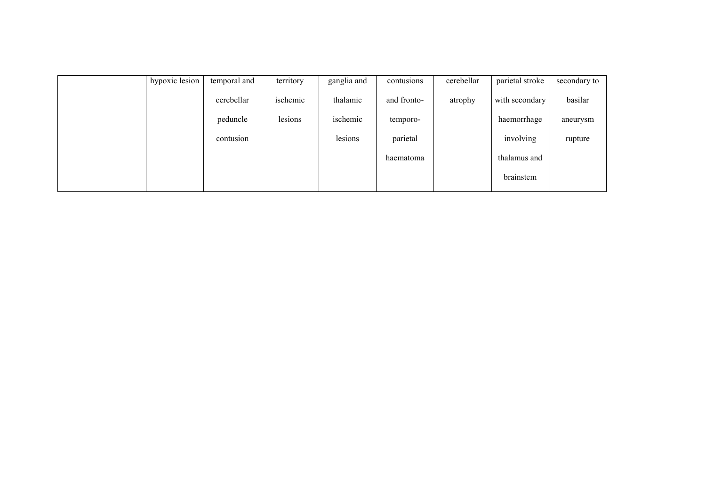| hypoxic lesion | temporal and | territory | ganglia and | contusions  | cerebellar | parietal stroke | secondary to |
|----------------|--------------|-----------|-------------|-------------|------------|-----------------|--------------|
|                | cerebellar   | ischemic  | thalamic    | and fronto- | atrophy    | with secondary  | basilar      |
|                | peduncle     | lesions   | ischemic    | temporo-    |            | haemorrhage     | aneurysm     |
|                | contusion    |           | lesions     | parietal    |            | involving       | rupture      |
|                |              |           |             | haematoma   |            | thalamus and    |              |
|                |              |           |             |             |            | brainstem       |              |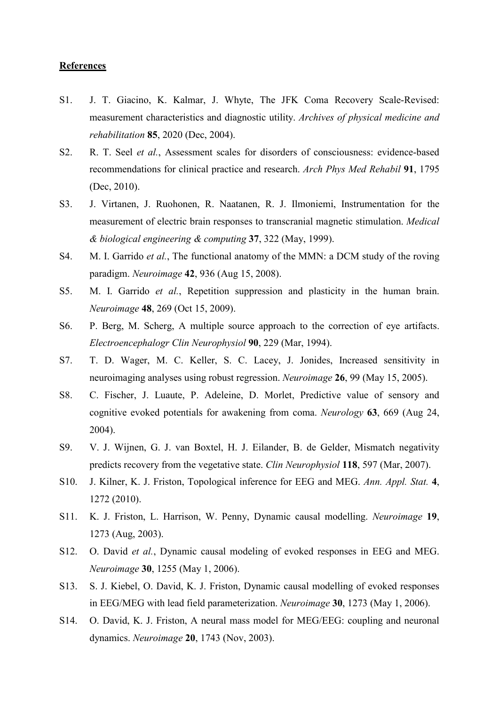## **References**

- S1. J. T. Giacino, K. Kalmar, J. Whyte, The JFK Coma Recovery Scale-Revised: measurement characteristics and diagnostic utility. *Archives of physical medicine and rehabilitation* **85**, 2020 (Dec, 2004).
- S2. R. T. Seel *et al.*, Assessment scales for disorders of consciousness: evidence-based recommendations for clinical practice and research. *Arch Phys Med Rehabil* **91**, 1795 (Dec, 2010).
- S3. J. Virtanen, J. Ruohonen, R. Naatanen, R. J. Ilmoniemi, Instrumentation for the measurement of electric brain responses to transcranial magnetic stimulation. *Medical & biological engineering & computing* **37**, 322 (May, 1999).
- S4. M. I. Garrido *et al.*, The functional anatomy of the MMN: a DCM study of the roving paradigm. *Neuroimage* **42**, 936 (Aug 15, 2008).
- S5. M. I. Garrido *et al.*, Repetition suppression and plasticity in the human brain. *Neuroimage* **48**, 269 (Oct 15, 2009).
- S6. P. Berg, M. Scherg, A multiple source approach to the correction of eye artifacts. *Electroencephalogr Clin Neurophysiol* **90**, 229 (Mar, 1994).
- S7. T. D. Wager, M. C. Keller, S. C. Lacey, J. Jonides, Increased sensitivity in neuroimaging analyses using robust regression. *Neuroimage* **26**, 99 (May 15, 2005).
- S8. C. Fischer, J. Luaute, P. Adeleine, D. Morlet, Predictive value of sensory and cognitive evoked potentials for awakening from coma. *Neurology* **63**, 669 (Aug 24, 2004).
- S9. V. J. Wijnen, G. J. van Boxtel, H. J. Eilander, B. de Gelder, Mismatch negativity predicts recovery from the vegetative state. *Clin Neurophysiol* **118**, 597 (Mar, 2007).
- S10. J. Kilner, K. J. Friston, Topological inference for EEG and MEG. *Ann. Appl. Stat.* **4**, 1272 (2010).
- S11. K. J. Friston, L. Harrison, W. Penny, Dynamic causal modelling. *Neuroimage* **19**, 1273 (Aug, 2003).
- S12. O. David *et al.*, Dynamic causal modeling of evoked responses in EEG and MEG. *Neuroimage* **30**, 1255 (May 1, 2006).
- S13. S. J. Kiebel, O. David, K. J. Friston, Dynamic causal modelling of evoked responses in EEG/MEG with lead field parameterization. *Neuroimage* **30**, 1273 (May 1, 2006).
- S14. O. David, K. J. Friston, A neural mass model for MEG/EEG: coupling and neuronal dynamics. *Neuroimage* **20**, 1743 (Nov, 2003).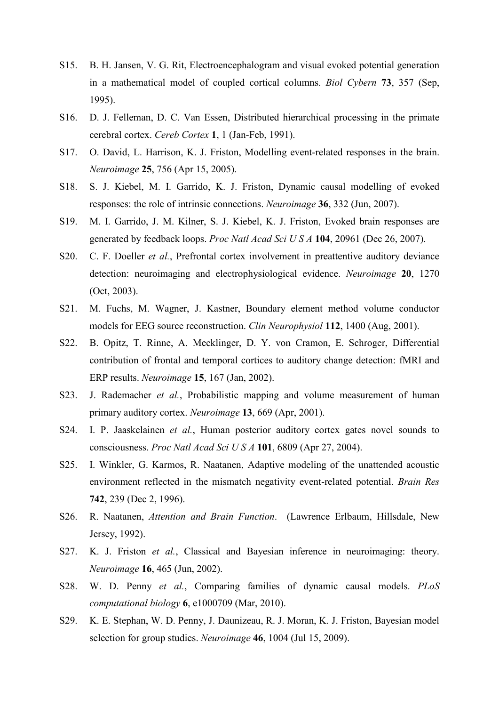- S15. B. H. Jansen, V. G. Rit, Electroencephalogram and visual evoked potential generation in a mathematical model of coupled cortical columns. *Biol Cybern* **73**, 357 (Sep, 1995).
- S16. D. J. Felleman, D. C. Van Essen, Distributed hierarchical processing in the primate cerebral cortex. *Cereb Cortex* **1**, 1 (Jan-Feb, 1991).
- S17. O. David, L. Harrison, K. J. Friston, Modelling event-related responses in the brain. *Neuroimage* **25**, 756 (Apr 15, 2005).
- S18. S. J. Kiebel, M. I. Garrido, K. J. Friston, Dynamic causal modelling of evoked responses: the role of intrinsic connections. *Neuroimage* **36**, 332 (Jun, 2007).
- S19. M. I. Garrido, J. M. Kilner, S. J. Kiebel, K. J. Friston, Evoked brain responses are generated by feedback loops. *Proc Natl Acad Sci U S A* **104**, 20961 (Dec 26, 2007).
- S20. C. F. Doeller *et al.*, Prefrontal cortex involvement in preattentive auditory deviance detection: neuroimaging and electrophysiological evidence. *Neuroimage* **20**, 1270 (Oct, 2003).
- S21. M. Fuchs, M. Wagner, J. Kastner, Boundary element method volume conductor models for EEG source reconstruction. *Clin Neurophysiol* **112**, 1400 (Aug, 2001).
- S22. B. Opitz, T. Rinne, A. Mecklinger, D. Y. von Cramon, E. Schroger, Differential contribution of frontal and temporal cortices to auditory change detection: fMRI and ERP results. *Neuroimage* **15**, 167 (Jan, 2002).
- S23. J. Rademacher *et al.*, Probabilistic mapping and volume measurement of human primary auditory cortex. *Neuroimage* **13**, 669 (Apr, 2001).
- S24. I. P. Jaaskelainen *et al.*, Human posterior auditory cortex gates novel sounds to consciousness. *Proc Natl Acad Sci U S A* **101**, 6809 (Apr 27, 2004).
- S25. I. Winkler, G. Karmos, R. Naatanen, Adaptive modeling of the unattended acoustic environment reflected in the mismatch negativity event-related potential. *Brain Res* **742**, 239 (Dec 2, 1996).
- S26. R. Naatanen, *Attention and Brain Function*. (Lawrence Erlbaum, Hillsdale, New Jersey, 1992).
- S27. K. J. Friston *et al.*, Classical and Bayesian inference in neuroimaging: theory. *Neuroimage* **16**, 465 (Jun, 2002).
- S28. W. D. Penny *et al.*, Comparing families of dynamic causal models. *PLoS computational biology* **6**, e1000709 (Mar, 2010).
- S29. K. E. Stephan, W. D. Penny, J. Daunizeau, R. J. Moran, K. J. Friston, Bayesian model selection for group studies. *Neuroimage* **46**, 1004 (Jul 15, 2009).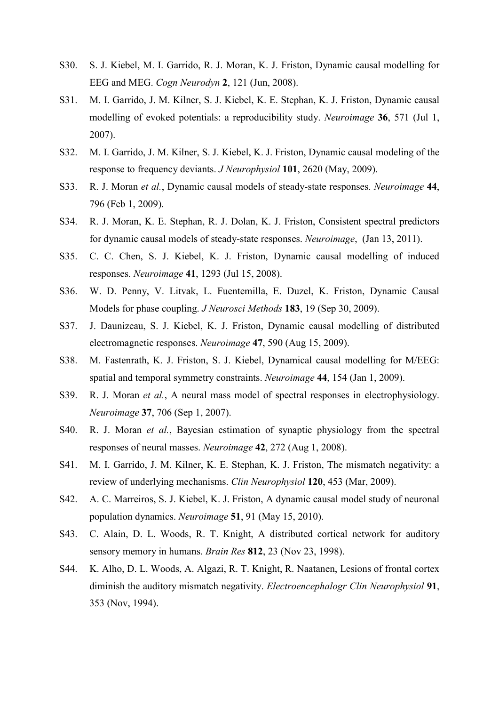- S30. S. J. Kiebel, M. I. Garrido, R. J. Moran, K. J. Friston, Dynamic causal modelling for EEG and MEG. *Cogn Neurodyn* **2**, 121 (Jun, 2008).
- S31. M. I. Garrido, J. M. Kilner, S. J. Kiebel, K. E. Stephan, K. J. Friston, Dynamic causal modelling of evoked potentials: a reproducibility study. *Neuroimage* **36**, 571 (Jul 1, 2007).
- S32. M. I. Garrido, J. M. Kilner, S. J. Kiebel, K. J. Friston, Dynamic causal modeling of the response to frequency deviants. *J Neurophysiol* **101**, 2620 (May, 2009).
- S33. R. J. Moran *et al.*, Dynamic causal models of steady-state responses. *Neuroimage* **44**, 796 (Feb 1, 2009).
- S34. R. J. Moran, K. E. Stephan, R. J. Dolan, K. J. Friston, Consistent spectral predictors for dynamic causal models of steady-state responses. *Neuroimage*, (Jan 13, 2011).
- S35. C. C. Chen, S. J. Kiebel, K. J. Friston, Dynamic causal modelling of induced responses. *Neuroimage* **41**, 1293 (Jul 15, 2008).
- S36. W. D. Penny, V. Litvak, L. Fuentemilla, E. Duzel, K. Friston, Dynamic Causal Models for phase coupling. *J Neurosci Methods* **183**, 19 (Sep 30, 2009).
- S37. J. Daunizeau, S. J. Kiebel, K. J. Friston, Dynamic causal modelling of distributed electromagnetic responses. *Neuroimage* **47**, 590 (Aug 15, 2009).
- S38. M. Fastenrath, K. J. Friston, S. J. Kiebel, Dynamical causal modelling for M/EEG: spatial and temporal symmetry constraints. *Neuroimage* **44**, 154 (Jan 1, 2009).
- S39. R. J. Moran *et al.*, A neural mass model of spectral responses in electrophysiology. *Neuroimage* **37**, 706 (Sep 1, 2007).
- S40. R. J. Moran *et al.*, Bayesian estimation of synaptic physiology from the spectral responses of neural masses. *Neuroimage* **42**, 272 (Aug 1, 2008).
- S41. M. I. Garrido, J. M. Kilner, K. E. Stephan, K. J. Friston, The mismatch negativity: a review of underlying mechanisms. *Clin Neurophysiol* **120**, 453 (Mar, 2009).
- S42. A. C. Marreiros, S. J. Kiebel, K. J. Friston, A dynamic causal model study of neuronal population dynamics. *Neuroimage* **51**, 91 (May 15, 2010).
- S43. C. Alain, D. L. Woods, R. T. Knight, A distributed cortical network for auditory sensory memory in humans. *Brain Res* **812**, 23 (Nov 23, 1998).
- S44. K. Alho, D. L. Woods, A. Algazi, R. T. Knight, R. Naatanen, Lesions of frontal cortex diminish the auditory mismatch negativity. *Electroencephalogr Clin Neurophysiol* **91**, 353 (Nov, 1994).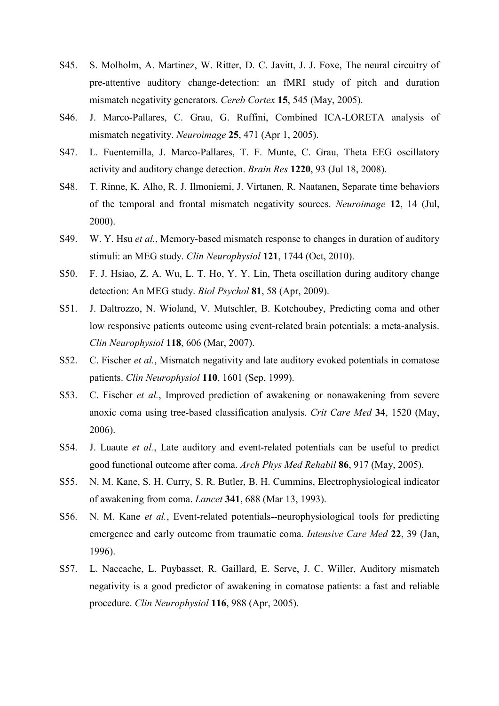- S45. S. Molholm, A. Martinez, W. Ritter, D. C. Javitt, J. J. Foxe, The neural circuitry of pre-attentive auditory change-detection: an fMRI study of pitch and duration mismatch negativity generators. *Cereb Cortex* **15**, 545 (May, 2005).
- S46. J. Marco-Pallares, C. Grau, G. Ruffini, Combined ICA-LORETA analysis of mismatch negativity. *Neuroimage* **25**, 471 (Apr 1, 2005).
- S47. L. Fuentemilla, J. Marco-Pallares, T. F. Munte, C. Grau, Theta EEG oscillatory activity and auditory change detection. *Brain Res* **1220**, 93 (Jul 18, 2008).
- S48. T. Rinne, K. Alho, R. J. Ilmoniemi, J. Virtanen, R. Naatanen, Separate time behaviors of the temporal and frontal mismatch negativity sources. *Neuroimage* **12**, 14 (Jul, 2000).
- S49. W. Y. Hsu *et al.*, Memory-based mismatch response to changes in duration of auditory stimuli: an MEG study. *Clin Neurophysiol* **121**, 1744 (Oct, 2010).
- S50. F. J. Hsiao, Z. A. Wu, L. T. Ho, Y. Y. Lin, Theta oscillation during auditory change detection: An MEG study. *Biol Psychol* **81**, 58 (Apr, 2009).
- S51. J. Daltrozzo, N. Wioland, V. Mutschler, B. Kotchoubey, Predicting coma and other low responsive patients outcome using event-related brain potentials: a meta-analysis. *Clin Neurophysiol* **118**, 606 (Mar, 2007).
- S52. C. Fischer *et al.*, Mismatch negativity and late auditory evoked potentials in comatose patients. *Clin Neurophysiol* **110**, 1601 (Sep, 1999).
- S53. C. Fischer *et al.*, Improved prediction of awakening or nonawakening from severe anoxic coma using tree-based classification analysis. *Crit Care Med* **34**, 1520 (May, 2006).
- S54. J. Luaute *et al.*, Late auditory and event-related potentials can be useful to predict good functional outcome after coma. *Arch Phys Med Rehabil* **86**, 917 (May, 2005).
- S55. N. M. Kane, S. H. Curry, S. R. Butler, B. H. Cummins, Electrophysiological indicator of awakening from coma. *Lancet* **341**, 688 (Mar 13, 1993).
- S56. N. M. Kane *et al.*, Event-related potentials--neurophysiological tools for predicting emergence and early outcome from traumatic coma. *Intensive Care Med* **22**, 39 (Jan, 1996).
- S57. L. Naccache, L. Puybasset, R. Gaillard, E. Serve, J. C. Willer, Auditory mismatch negativity is a good predictor of awakening in comatose patients: a fast and reliable procedure. *Clin Neurophysiol* **116**, 988 (Apr, 2005).